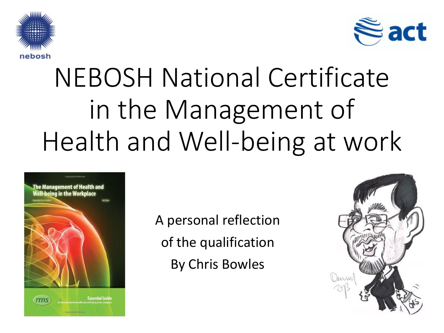



# NEBOSH National Certificate in the Management of Health and Well-being at work



A personal reflection of the qualification By Chris Bowles

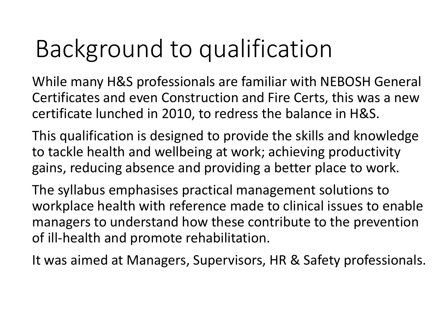# Background to qualification

While many H&S professionals are familiar with NEBOSH General Certificates and even Construction and Fire Certs, this was a new certificate lunched in 2010, to redress the balance in H&S.

This qualification is designed to provide the skills and knowledge to tackle health and wellbeing at work; achieving productivity gains, reducing absence and providing a better place to work.

The syllabus emphasises practical management solutions to workplace health with reference made to clinical issues to enable managers to understand how these contribute to the prevention of ill-health and promote rehabilitation.

It was aimed at Managers, Supervisors, HR & Safety professionals.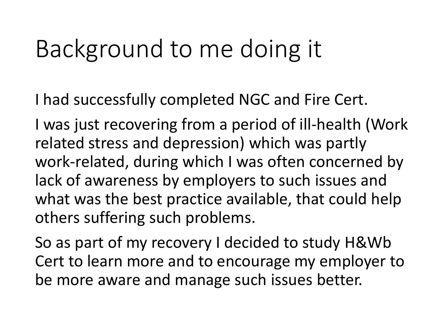## Background to me doing it

I had successfully completed NGC and Fire Cert.

I was just recovering from a period of ill-health (Work related stress and depression) which was partly work-related, during which I was often concerned by lack of awareness by employers to such issues and what was the best practice available, that could help others suffering such problems.

So as part of my recovery I decided to study H&Wb Cert to learn more and to encourage my employer to be more aware and manage such issues better.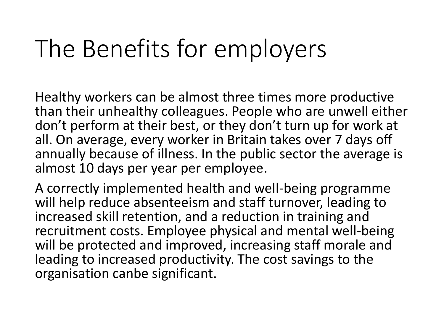# The Benefits for employers

Healthy workers can be almost three times more productive than their unhealthy colleagues. People who are unwell either don't perform at their best, or they don't turn up for work at all. On average, every worker in Britain takes over 7 days off annually because of illness. In the public sector the average is almost 10 days per year per employee.

A correctly implemented health and well-being programme will help reduce absenteeism and staff turnover, leading to increased skill retention, and a reduction in training and recruitment costs. Employee physical and mental well-being will be protected and improved, increasing staff morale and leading to increased productivity. The cost savings to the organisation canbe significant.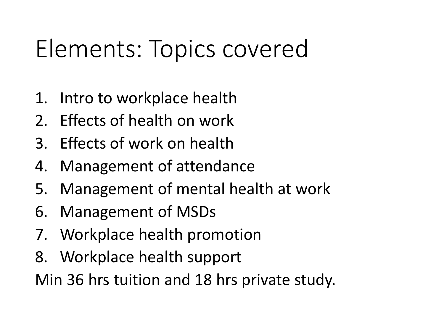# Elements: Topics covered

- 1. Intro to workplace health
- 2. Effects of health on work
- 3. Effects of work on health
- 4. Management of attendance
- 5. Management of mental health at work
- 6. Management of MSDs
- 7. Workplace health promotion
- 8. Workplace health support

Min 36 hrs tuition and 18 hrs private study.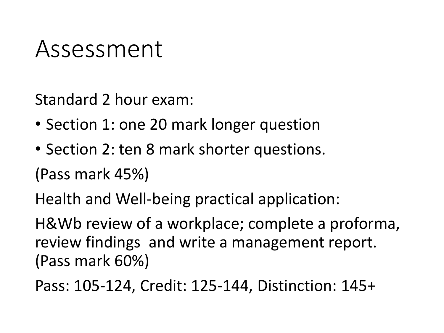### Assessment

Standard 2 hour exam:

- Section 1: one 20 mark longer question
- Section 2: ten 8 mark shorter questions.

(Pass mark 45%)

Health and Well-being practical application:

H&Wb review of a workplace; complete a proforma, review findings and write a management report. (Pass mark 60%)

Pass: 105-124, Credit: 125-144, Distinction: 145+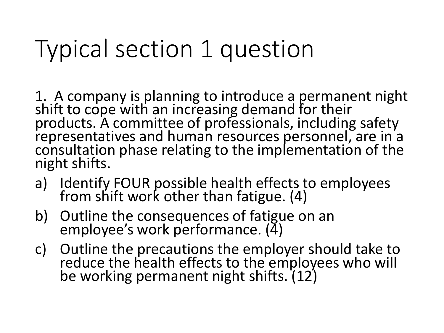# Typical section 1 question

1. A company is planning to introduce a permanent night shift to cope with an increasing demand for their products. A committee of professionals, including safety representatives and human resources personnel, are in a consultation phase relating to the implementation of the night shifts.

- a) Identify FOUR possible health effects to employees from shift work other than fatigue. (4)
- b) Outline the consequences of fatigue on an employee's work performance. (4)
- c) Outline the precautions the employer should take to reduce the health effects to the employees who will be working permanent night shifts. (12)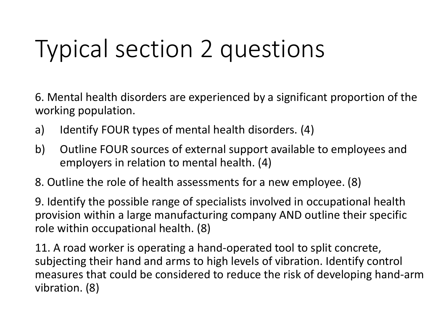# Typical section 2 questions

6. Mental health disorders are experienced by a significant proportion of the working population.

- a) Identify FOUR types of mental health disorders. (4)
- b) Outline FOUR sources of external support available to employees and employers in relation to mental health. (4)
- 8. Outline the role of health assessments for a new employee. (8)

9. Identify the possible range of specialists involved in occupational health provision within a large manufacturing company AND outline their specific role within occupational health. (8)

11. A road worker is operating a hand-operated tool to split concrete, subjecting their hand and arms to high levels of vibration. Identify control measures that could be considered to reduce the risk of developing hand-arm vibration. (8)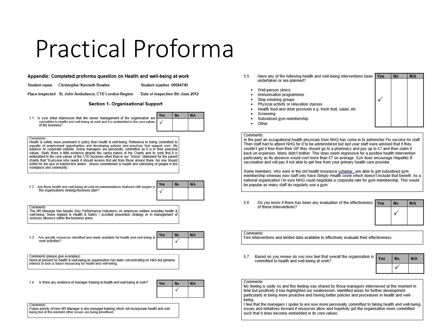### Practical Proforma

#### Appendix: Completed proforma question on Health and well-being at work

Student name Christopher Kenneth Bowles

Date of inspection 8th June 2012

Student number 00044740

Place inspected St. John Ambulance, CTD London Region

Section 1- Organisational Support

1.1 Is your initial impression that the senior management of the organisation are committed to health and well-being at work and it is embedded in the core values of the business?

**No**  $N/A$ Yes ✓

Comments: Health & safety more prominent in policy than health & well-being. Reference to being committed to equality of employment opportunities and developing policies and practices that support work- life balance on corporate website. Some managers are personally committed as it is in their personal values. Sadly there is little evidence despite the caring nature of the Charity and its work that it is embedded in the core values of the CTD business other than in our "Vision" statement for the parent charity that "Everyone who needs it should receive first aid from those around them. No one should suffer for the lack of trained first aiders". Shows commitment to health and well-being of people in the workplace and community.

|  | 1.2 Are there health and well-being at work recommendations featured with targets in<br>the organisations strategy/business plan? | <b>Yes</b> | <b>No</b> | N/A |
|--|-----------------------------------------------------------------------------------------------------------------------------------|------------|-----------|-----|
|  |                                                                                                                                   |            |           |     |

Comments

The HR Manager has targets (Key Performance Indicators) on employee welfare including health & well-being. Some implied in Health & Safety / accident prevention strategy or in management of sickness absence within the business plans.

| Are specific resources identified and made available for health and well-being at Yes |  |
|---------------------------------------------------------------------------------------|--|
| work activities?                                                                      |  |

#### Comments (please give examples)

None at present for health & well-being as organisation has been concentrating on H&S but genuine interest to look at future resourcing for health and well-being.

1.4 Is there any evidence of manager training in health and well-being at work?

| Yes | N/A |
|-----|-----|
|     |     |

 $N<sub>0</sub>$ 

N/A

| Comments:                                                                                          |  |
|----------------------------------------------------------------------------------------------------|--|
| Future priority of new HR Manager is line-manager training which will incorporate health and well- |  |
| being but at the moment other issues are being prioritised.                                        |  |

- Have any of the following health and well-being interventions been Yes **No**  $N/A$ 55 undertaken or are planned?
	- Well-person clinics
	- Immunisation programmes
	- Stop smoking groups
	- Physical activity or relaxation classes
	- Health food and drink provision e.g. fresh fruit, salad, etc.
	- Screening
	- Subsidised gym membership
- Other

#### Comments:

In the past an occupational health physician from NHQ has come in to administer Flu vaccine for staff. Then staff had to attend NHQ for it to be administered but last year staff were advised that if they couldn't get it free from their GP they should go to a pharmacy and pay up to £7 and then claim it back on expenses. Many didn't bother. This does seem regressive for a positive health intervention particularly as flu absence would cost more than £7 on average. SJA does encourage Hepatitis B vaccination and will pay if not able to get free from your primary health care provider.

Some members, who were in the old health insurance scheme, are able to get subsidised gym membership whereas now staff only have Simply Health cover which doesn't include that benefit. As a national organisation I'm sure NHQ could negotiate a corporate rate for gym membership. This would be popular as many staff do regularly use a gym.

5.6 Do you know if there has been any evaluation of the effectiveness of these interventions?



Comments:

Few interventions and limited data available to effectively evaluate their effectiveness.

Based on you review do you now feel that overall the organisation is 5.7 committed to health and well-being at work?

| Yes | No | N/A |
|-----|----|-----|
|     |    |     |

#### Comments:

My feeling is sadly no and this feeling was shared by those managers interviewed at this moment in time but positively it has highlighted our weaknesses, identified areas for further development particularly in being more proactive and having better policies and procedures in health and wellbeina

I feel that the managers I spoke to are now more personally committed to taking health and well-being issues and initiatives forward if resources allow and hopefully get the organisation more committed such that it does become embedded in its core values.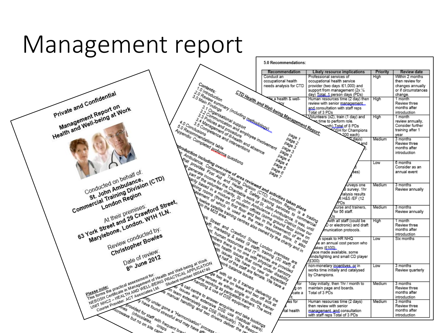### Management report

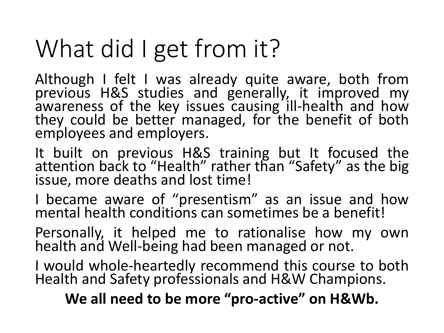# What did I get from it?

Although I felt I was already quite aware, both from previous H&S studies and generally, it improved my awareness of the key issues causing ill-health and how they could be better managed, for the benefit of both employees and employers.

It built on previous H&S training but It focused the attention back to "Health" rather than "Safety" as the big issue, more deaths and lost time!

I became aware of "presentism" as an issue and how mental health conditions can sometimes be a benefit!

Personally, it helped me to rationalise how my own health and Well-being had been managed or not.

I would whole-heartedly recommend this course to both Health and Safety professionals and H&W Champions.

**We all need to be more "pro-active" on H&Wb.**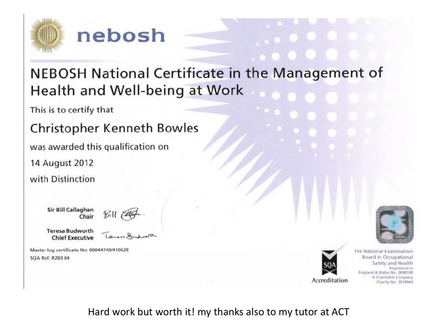

#### nebosh

#### NEBOSH National Certificate in the Management of Health and Well-being at Work

This is to certify that

#### **Christopher Kenneth Bowles**

was awarded this qualification on

14 August 2012

with Distinction

Sir Bill Callaghan Chair



**Teresa Budworth Chief Executive** 

Master log certificate No: 00044740/410628 SQA Ref: R203 04



The National Examination Board in Occupational Safety and Health Registered in England & Wales No. 2698100 A Charitable Company Charity No. 1010444

Hard work but worth it! my thanks also to my tutor at ACT

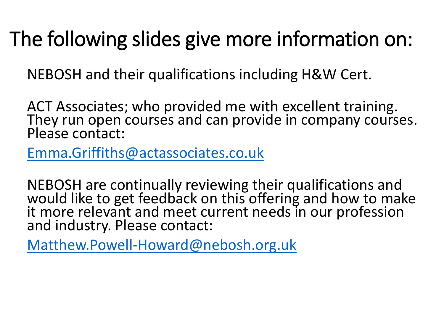### The following slides give more information on:

NEBOSH and their qualifications including H&W Cert.

ACT Associates; who provided me with excellent training. They run open courses and can provide in company courses. Please contact:

[Emma.Griffiths@actassociates.co.uk](mailto:Emma.Griffiths@actassociates.co.uk)

NEBOSH are continually reviewing their qualifications and would like to get feedback on this offering and how to make it more relevant and meet current needs in our profession and industry. Please contact:

[Matthew.Powell-Howard@nebosh.org.uk](mailto:Matthew.Powell-Howard@nebosh.org.uk)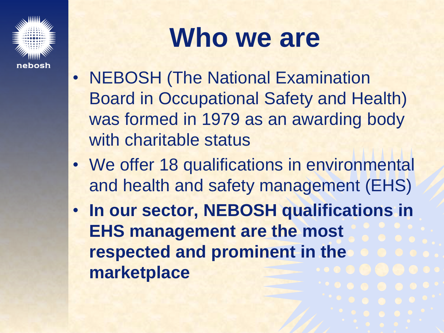

# **Who we are**

- NEBOSH (The National Examination Board in Occupational Safety and Health) was formed in 1979 as an awarding body with charitable status
- We offer 18 qualifications in environmental and health and safety management (EHS)
- **In our sector, NEBOSH qualifications in EHS management are the most respected and prominent in the marketplace**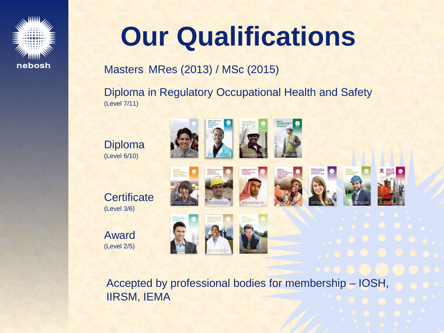

# **Our Qualifications**

#### Masters MRes (2013) / MSc (2015)

Diploma in Regulatory Occupational Health and Safety (Level 7/11)

Diploma (Level 6/10)

**Certificate** (Level 3/6)

Award (Level 2/5)

















Accepted by professional bodies for membership – IOSH, IIRSM, IEMA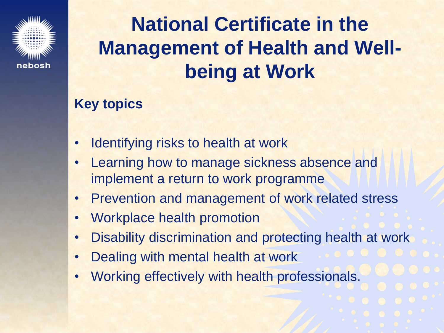

### **National Certificate in the Management of Health and Wellbeing at Work**

#### **Key topics**

- Identifying risks to health at work
- Learning how to manage sickness absence and implement a return to work programme
- Prevention and management of work related stress
- Workplace health promotion
- Disability discrimination and protecting health at work
- Dealing with mental health at work
- Working effectively with health professionals.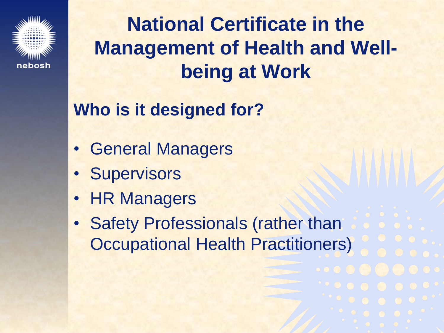

**National Certificate in the Management of Health and Wellbeing at Work**

**Who is it designed for?**

- General Managers
- Supervisors
- HR Managers
- Safety Professionals (rather than Occupational Health Practitioners)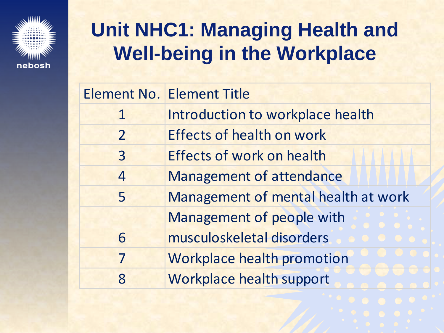

#### **Unit NHC1: Managing Health and Well-being in the Workplace**

|                | <b>Element No. Element Title</b>    |  |
|----------------|-------------------------------------|--|
| $\mathbf 1$    | Introduction to workplace health    |  |
| $\overline{2}$ | <b>Effects of health on work</b>    |  |
| $\overline{3}$ | <b>Effects of work on health</b>    |  |
| $\overline{4}$ | <b>Management of attendance</b>     |  |
| 5              | Management of mental health at work |  |
|                | Management of people with           |  |
| 6              | musculoskeletal disorders           |  |
| 7              | <b>Workplace health promotion</b>   |  |
| 8              | Workplace health support            |  |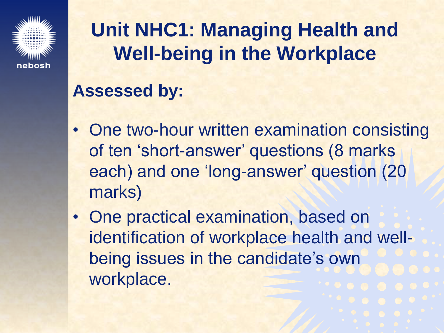

#### **Unit NHC1: Managing Health and Well-being in the Workplace**

#### **Assessed by:**

- One two-hour written examination consisting of ten 'short-answer' questions (8 marks each) and one 'long-answer' question (20 marks)
- One practical examination, based on identification of workplace health and wellbeing issues in the candidate's own workplace.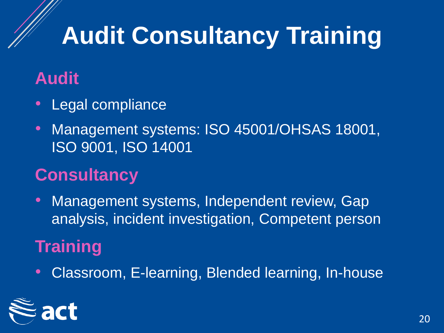# **Audit Consultancy Training**

#### **Audit**

- Legal compliance
- Management systems: ISO 45001/OHSAS 18001, ISO 9001, ISO 14001

#### **Consultancy**

• Management systems, Independent review, Gap analysis, incident investigation, Competent person

#### **Training**

• Classroom, E-learning, Blended learning, In-house

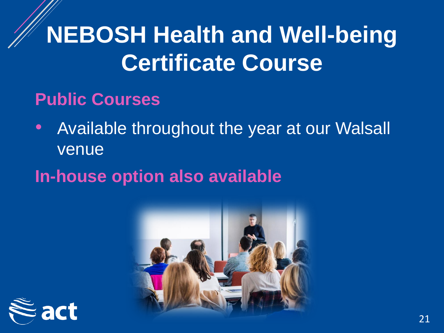## **NEBOSH Health and Well-being Certificate Course**

#### **Public Courses**

• Available throughout the year at our Walsall venue

#### **In-house option also available**